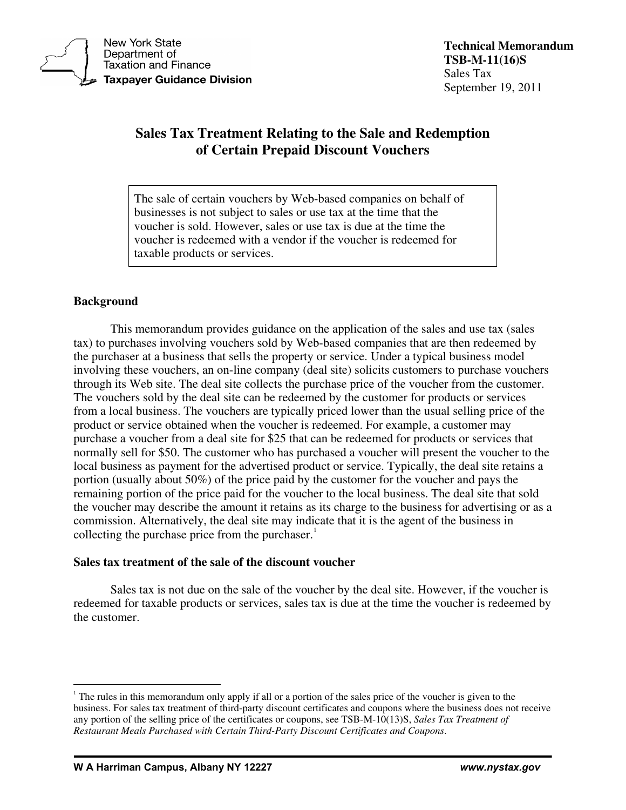

**New York State** Department of **Taxation and Finance Taxpayer Guidance Division** 

# **Sales Tax Treatment Relating to the Sale and Redemption of Certain Prepaid Discount Vouchers**

The sale of certain vouchers by Web-based companies on behalf of businesses is not subject to sales or use tax at the time that the voucher is sold. However, sales or use tax is due at the time the voucher is redeemed with a vendor if the voucher is redeemed for taxable products or services.

## **Background**

This memorandum provides guidance on the application of the sales and use tax (sales tax) to purchases involving vouchers sold by Web-based companies that are then redeemed by the purchaser at a business that sells the property or service. Under a typical business model involving these vouchers, an on-line company (deal site) solicits customers to purchase vouchers through its Web site. The deal site collects the purchase price of the voucher from the customer. The vouchers sold by the deal site can be redeemed by the customer for products or services from a local business. The vouchers are typically priced lower than the usual selling price of the product or service obtained when the voucher is redeemed. For example, a customer may purchase a voucher from a deal site for \$25 that can be redeemed for products or services that normally sell for \$50. The customer who has purchased a voucher will present the voucher to the local business as payment for the advertised product or service. Typically, the deal site retains a portion (usually about 50%) of the price paid by the customer for the voucher and pays the remaining portion of the price paid for the voucher to the local business. The deal site that sold the voucher may describe the amount it retains as its charge to the business for advertising or as a commission. Alternatively, the deal site may indicate that it is the agent of the business in collecting the purchase price from the purchaser. $<sup>1</sup>$  $<sup>1</sup>$  $<sup>1</sup>$ </sup>

### **Sales tax treatment of the sale of the discount voucher**

Sales tax is not due on the sale of the voucher by the deal site. However, if the voucher is redeemed for taxable products or services, sales tax is due at the time the voucher is redeemed by the customer.

<span id="page-0-0"></span> $\overline{a}$ <sup>1</sup> The rules in this memorandum only apply if all or a portion of the sales price of the voucher is given to the business. For sales tax treatment of third-party discount certificates and coupons where the business does not receive any portion of the selling price of the certificates or coupons, see TSB-M-10(13)S, *Sales Tax Treatment of Restaurant Meals Purchased with Certain Third-Party Discount Certificates and Coupons*.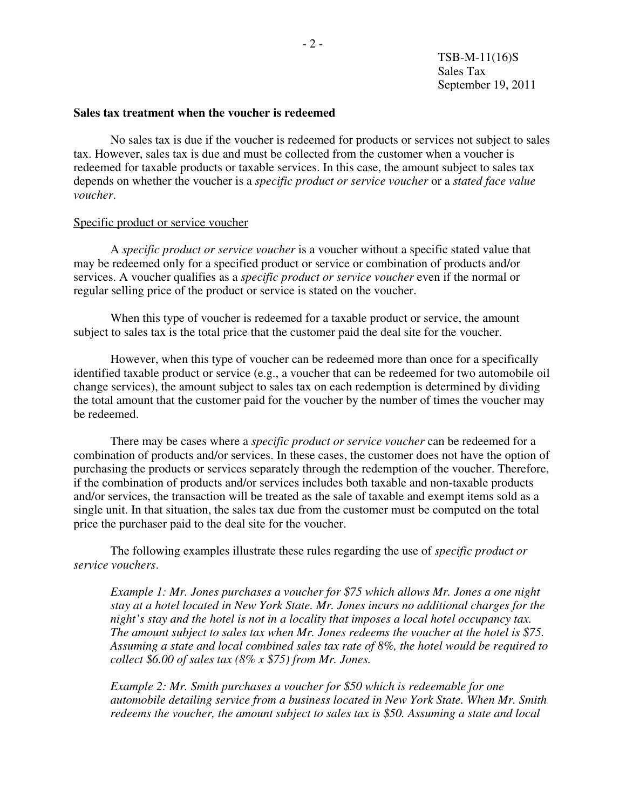#### **Sales tax treatment when the voucher is redeemed**

No sales tax is due if the voucher is redeemed for products or services not subject to sales tax. However, sales tax is due and must be collected from the customer when a voucher is redeemed for taxable products or taxable services. In this case, the amount subject to sales tax depends on whether the voucher is a *specific product or service voucher* or a *stated face value voucher*.

#### Specific product or service voucher

A *specific product or service voucher* is a voucher without a specific stated value that may be redeemed only for a specified product or service or combination of products and/or services. A voucher qualifies as a *specific product or service voucher* even if the normal or regular selling price of the product or service is stated on the voucher.

When this type of voucher is redeemed for a taxable product or service, the amount subject to sales tax is the total price that the customer paid the deal site for the voucher.

However, when this type of voucher can be redeemed more than once for a specifically identified taxable product or service (e.g., a voucher that can be redeemed for two automobile oil change services), the amount subject to sales tax on each redemption is determined by dividing the total amount that the customer paid for the voucher by the number of times the voucher may be redeemed.

There may be cases where a *specific product or service voucher* can be redeemed for a combination of products and/or services. In these cases, the customer does not have the option of purchasing the products or services separately through the redemption of the voucher. Therefore, if the combination of products and/or services includes both taxable and non-taxable products and/or services, the transaction will be treated as the sale of taxable and exempt items sold as a single unit. In that situation, the sales tax due from the customer must be computed on the total price the purchaser paid to the deal site for the voucher.

The following examples illustrate these rules regarding the use of *specific product or service vouchers*.

*Example 1: Mr. Jones purchases a voucher for \$75 which allows Mr. Jones a one night stay at a hotel located in New York State. Mr. Jones incurs no additional charges for the night's stay and the hotel is not in a locality that imposes a local hotel occupancy tax. The amount subject to sales tax when Mr. Jones redeems the voucher at the hotel is \$75. Assuming a state and local combined sales tax rate of 8%, the hotel would be required to collect \$6.00 of sales tax (8% x \$75) from Mr. Jones.* 

*Example 2: Mr. Smith purchases a voucher for \$50 which is redeemable for one automobile detailing service from a business located in New York State. When Mr. Smith redeems the voucher, the amount subject to sales tax is \$50. Assuming a state and local*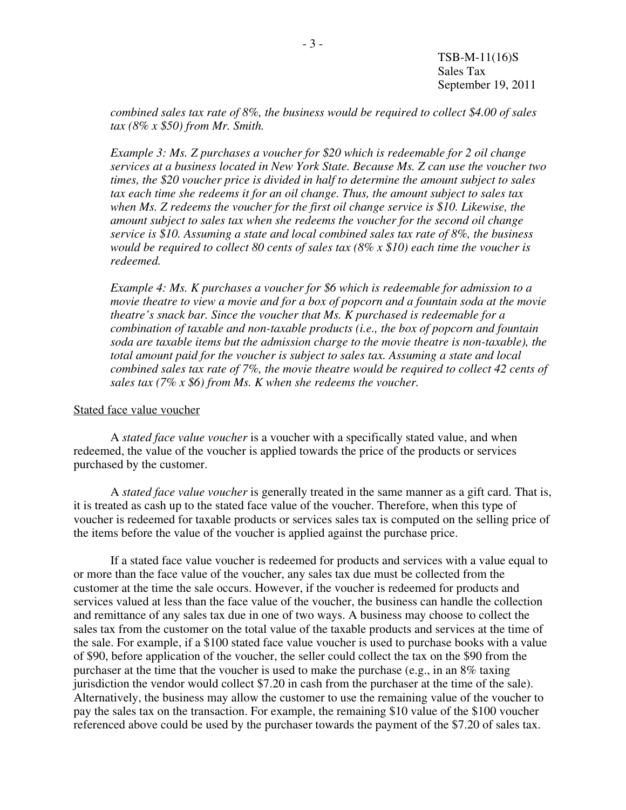TSB-M-11(16)S Sales Tax September 19, 2011

*combined sales tax rate of 8%, the business would be required to collect \$4.00 of sales tax (8% x \$50) from Mr. Smith.* 

*Example 3: Ms. Z purchases a voucher for \$20 which is redeemable for 2 oil change services at a business located in New York State. Because Ms. Z can use the voucher two times, the \$20 voucher price is divided in half to determine the amount subject to sales tax each time she redeems it for an oil change. Thus, the amount subject to sales tax when Ms. Z redeems the voucher for the first oil change service is \$10. Likewise, the amount subject to sales tax when she redeems the voucher for the second oil change service is \$10. Assuming a state and local combined sales tax rate of 8%, the business would be required to collect 80 cents of sales tax (8% x \$10) each time the voucher is redeemed.* 

*Example 4: Ms. K purchases a voucher for \$6 which is redeemable for admission to a movie theatre to view a movie and for a box of popcorn and a fountain soda at the movie theatre's snack bar. Since the voucher that Ms. K purchased is redeemable for a combination of taxable and non-taxable products (i.e., the box of popcorn and fountain soda are taxable items but the admission charge to the movie theatre is non-taxable), the total amount paid for the voucher is subject to sales tax. Assuming a state and local combined sales tax rate of 7%, the movie theatre would be required to collect 42 cents of sales tax (7% x \$6) from Ms. K when she redeems the voucher.*

#### Stated face value voucher

A *stated face value voucher* is a voucher with a specifically stated value, and when redeemed, the value of the voucher is applied towards the price of the products or services purchased by the customer.

A *stated face value voucher* is generally treated in the same manner as a gift card. That is, it is treated as cash up to the stated face value of the voucher. Therefore, when this type of voucher is redeemed for taxable products or services sales tax is computed on the selling price of the items before the value of the voucher is applied against the purchase price.

If a stated face value voucher is redeemed for products and services with a value equal to or more than the face value of the voucher, any sales tax due must be collected from the customer at the time the sale occurs. However, if the voucher is redeemed for products and services valued at less than the face value of the voucher, the business can handle the collection and remittance of any sales tax due in one of two ways. A business may choose to collect the sales tax from the customer on the total value of the taxable products and services at the time of the sale. For example, if a \$100 stated face value voucher is used to purchase books with a value of \$90, before application of the voucher, the seller could collect the tax on the \$90 from the purchaser at the time that the voucher is used to make the purchase (e.g., in an 8% taxing jurisdiction the vendor would collect \$7.20 in cash from the purchaser at the time of the sale). Alternatively, the business may allow the customer to use the remaining value of the voucher to pay the sales tax on the transaction. For example, the remaining \$10 value of the \$100 voucher referenced above could be used by the purchaser towards the payment of the \$7.20 of sales tax.